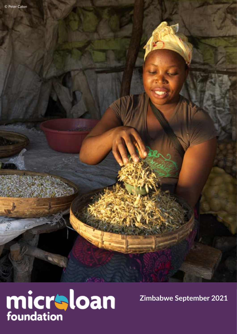

**Zimbabwe September 2021**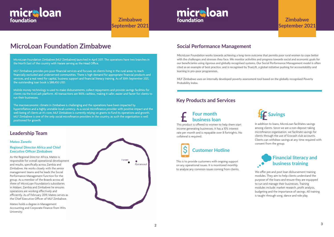## **MicroLoan Foundation Zimbabwe**

### **Leadership Team**

#### **Mateo Zanetic**

#### **Regional Director Africa and Chief Executive Officer Zimbabwe**

As the Regional Director Africa, Mateo is responsible for overall operational development and results, specifically across Zambia and Zimbabwe. He works closely with the senior management teams and he leads the Social Performance Management function for the group. As a member of the Boards across all three of MicroLoan Foundation's subsidiaries in Malawi, Zambia and Zimbabwe he ensures operations are working effectively and efficiently. As of February 2019, Mateo serves as the Chief Executive Officer of MLF Zimbabwe.

Mateo holds a degree in Management Accounting and Corporate Finance from Wits University.



MicroLoan Foundation works towards achieving a long-term outcome that permits poor rural women to cope better with the challenges and stresses they face. We monitor activities and progress towards social and economic goals for our beneficiaries using rigorous and globally recognised systems. Our Social Performance Management model is often cited as an example of best practice, and is recognised by TrueLift, a global initiative pushing for accountability and learning in pro-poor programmes.

MLF Zimbabwe uses an internally developed poverty assessment tool based on the globally recognised Poverty Probability Index.

### **Social Performance Management**

# micraloan foundation

**Zimbabwe September 2021**

# micraloan foundation

MicroLoan Foundation Zimbabwe (MLF Zimbabwe) launched in April 2017. The operations have two branches in the North East of the country with Harare serving as the Head Office.

MLF Zimbabwe provides pro-poor financial services and focuses on clients living in the rural areas to reach financially excluded and underserved communities. There is high demand for appropriate financial products and services, and a real need for capital, business support and financial literacy training. As of 30th September 2021, the outstanding loan book is \$88,450 USD.

Mobile money technology is used to make disbursements, collect repayments and provide savings facilities for clients via the EcoCash platform. All transactions are 100% cashless, making it safer, easier and faster for clients to run their businesses.

The macroeconomic climate in Zimbabwe is challenging and the operations have been impacted by hyperinflation and a highly unstable local currency. As a social microfinance provider with positive impact and the well-being of clients at it's core, MLF Zimbabwe is currently relying on grants to fund its operations and growth. MLF Zimbabwe is one of the only social microfinance providers in the country, as such the organisation is well positioned for growth.

#### **Key Products and Services**



This is to provide customers with ongoing support on any operational issues. It is monitored monthly to analyse any common issues coming from clients.

### **Financial literacy and business training**

We offer pre and post loan disbursement training modules. They aim to help clients understand the purpose of the loans and ensure they are equipped to run and manage their businesses. Training modules include: market research, profit analysis, budgeting and the importance of savings. All training is taught through song, dance and role play.

This product is offered to women to help them start income generating businesses. It has a 10% interest rate per month and is repayable over 8 fortnights. No collateral is required.

### **Four month business loan**



In addition to loans, MicroLoan facilitates savings among clients. Since we are a non-deposit taking microfinance organisation, we facilitate savings for clients through the use of Ecocash club accounts. Clients can withdraw savings at any time required with consent from the group.

### **Zimbabwe September 2021**